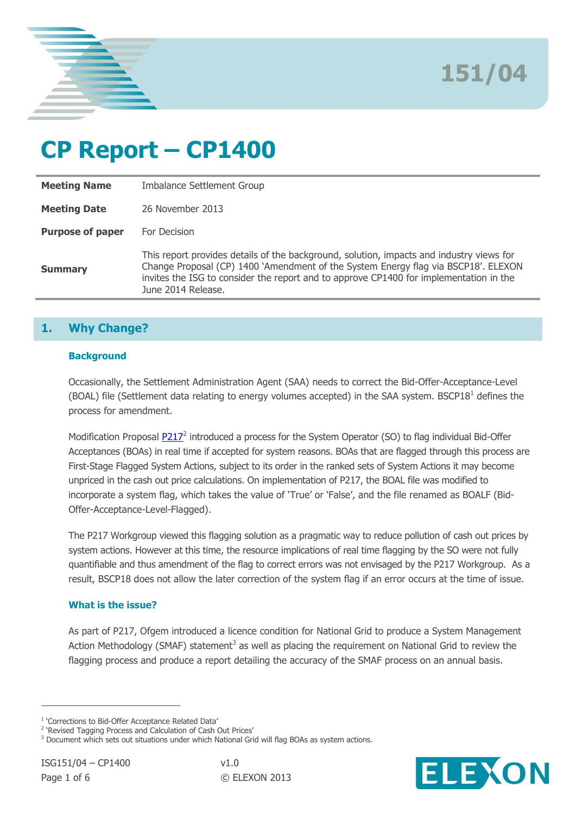

# **CP Report – CP1400**

| <b>Meeting Name</b>     | Imbalance Settlement Group                                                                                                                                                                                                                                                                     |
|-------------------------|------------------------------------------------------------------------------------------------------------------------------------------------------------------------------------------------------------------------------------------------------------------------------------------------|
| <b>Meeting Date</b>     | 26 November 2013                                                                                                                                                                                                                                                                               |
| <b>Purpose of paper</b> | For Decision                                                                                                                                                                                                                                                                                   |
| <b>Summary</b>          | This report provides details of the background, solution, impacts and industry views for<br>Change Proposal (CP) 1400 'Amendment of the System Energy flag via BSCP18'. ELEXON<br>invites the ISG to consider the report and to approve CP1400 for implementation in the<br>June 2014 Release. |

# **1. Why Change?**

#### **Background**

Occasionally, the Settlement Administration Agent (SAA) needs to correct the Bid-Offer-Acceptance-Level (BOAL) file (Settlement data relating to energy volumes accepted) in the SAA system. BSCP18<sup>1</sup> defines the process for amendment.

Modification Proposal **P217**<sup>2</sup> introduced a process for the System Operator (SO) to flag individual Bid-Offer Acceptances (BOAs) in real time if accepted for system reasons. BOAs that are flagged through this process are First-Stage Flagged System Actions, subject to its order in the ranked sets of System Actions it may become unpriced in the cash out price calculations. On implementation of P217, the BOAL file was modified to incorporate a system flag, which takes the value of 'True' or 'False', and the file renamed as BOALF (Bid-Offer-Acceptance-Level-Flagged).

The P217 Workgroup viewed this flagging solution as a pragmatic way to reduce pollution of cash out prices by system actions. However at this time, the resource implications of real time flagging by the SO were not fully quantifiable and thus amendment of the flag to correct errors was not envisaged by the P217 Workgroup. As a result, BSCP18 does not allow the later correction of the system flag if an error occurs at the time of issue.

## **What is the issue?**

As part of P217, Ofgem introduced a licence condition for National Grid to produce a System Management Action Methodology (SMAF) statement<sup>3</sup> as well as placing the requirement on National Grid to review the flagging process and produce a report detailing the accuracy of the SMAF process on an annual basis.

 $\overline{a}$ 



<sup>&</sup>lt;sup>1</sup> 'Corrections to Bid-Offer Acceptance Related Data'

<sup>&</sup>lt;sup>2</sup> 'Revised Tagging Process and Calculation of Cash Out Prices'

<sup>&</sup>lt;sup>3</sup> Document which sets out situations under which National Grid will flag BOAs as system actions.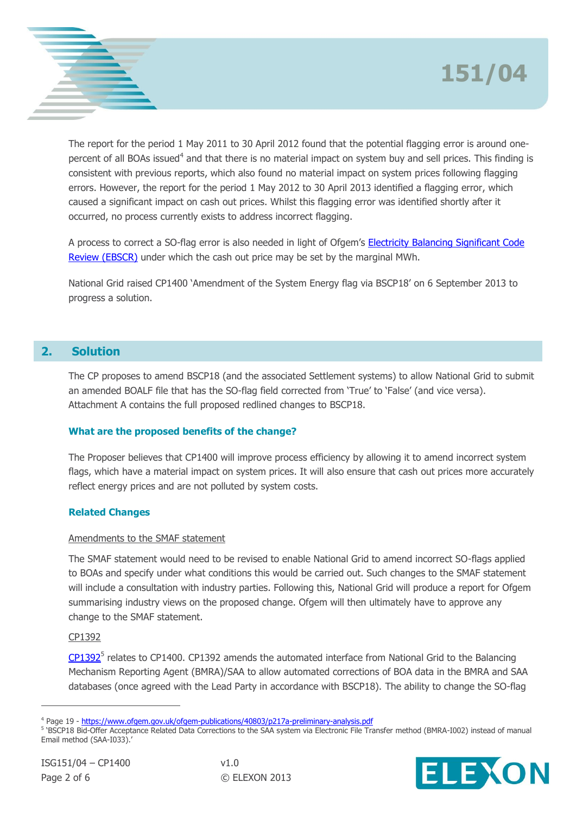

The report for the period 1 May 2011 to 30 April 2012 found that the potential flagging error is around onepercent of all BOAs issued<sup>4</sup> and that there is no material impact on system buy and sell prices. This finding is consistent with previous reports, which also found no material impact on system prices following flagging errors. However, the report for the period 1 May 2012 to 30 April 2013 identified a flagging error, which caused a significant impact on cash out prices. Whilst this flagging error was identified shortly after it occurred, no process currently exists to address incorrect flagging.

A process to correct a SO-flag error is also needed in light of Ofgem's [Electricity Balancing Significant Code](https://www.ofgem.gov.uk/electricity/wholesale-market/market-efficiency-review-and-reform/electricity-balancing-significant-code-review)  [Review \(EBSCR\)](https://www.ofgem.gov.uk/electricity/wholesale-market/market-efficiency-review-and-reform/electricity-balancing-significant-code-review) under which the cash out price may be set by the marginal MWh.

National Grid raised CP1400 'Amendment of the System Energy flag via BSCP18' on 6 September 2013 to progress a solution.

# **2. Solution**

The CP proposes to amend BSCP18 (and the associated Settlement systems) to allow National Grid to submit an amended BOALF file that has the SO-flag field corrected from 'True' to 'False' (and vice versa). Attachment A contains the full proposed redlined changes to BSCP18.

## **What are the proposed benefits of the change?**

The Proposer believes that CP1400 will improve process efficiency by allowing it to amend incorrect system flags, which have a material impact on system prices. It will also ensure that cash out prices more accurately reflect energy prices and are not polluted by system costs.

## **Related Changes**

## Amendments to the SMAF statement

The SMAF statement would need to be revised to enable National Grid to amend incorrect SO-flags applied to BOAs and specify under what conditions this would be carried out. Such changes to the SMAF statement will include a consultation with industry parties. Following this, National Grid will produce a report for Ofgem summarising industry views on the proposed change. Ofgem will then ultimately have to approve any change to the SMAF statement.

## CP1392

[CP1392](http://www.elexon.co.uk/change-proposal/cp1392/)<sup>5</sup> relates to CP1400. CP1392 amends the automated interface from National Grid to the Balancing Mechanism Reporting Agent (BMRA)/SAA to allow automated corrections of BOA data in the BMRA and SAA databases (once agreed with the Lead Party in accordance with BSCP18). The ability to change the SO-flag

<sup>5</sup> 'BSCP18 Bid-Offer Acceptance Related Data Corrections to the SAA system via Electronic File Transfer method (BMRA-I002) instead of manual Email method (SAA-I033).'

 $\overline{a}$ 



<sup>&</sup>lt;sup>4</sup> Page 19 - <https://www.ofgem.gov.uk/ofgem-publications/40803/p217a-preliminary-analysis.pdf>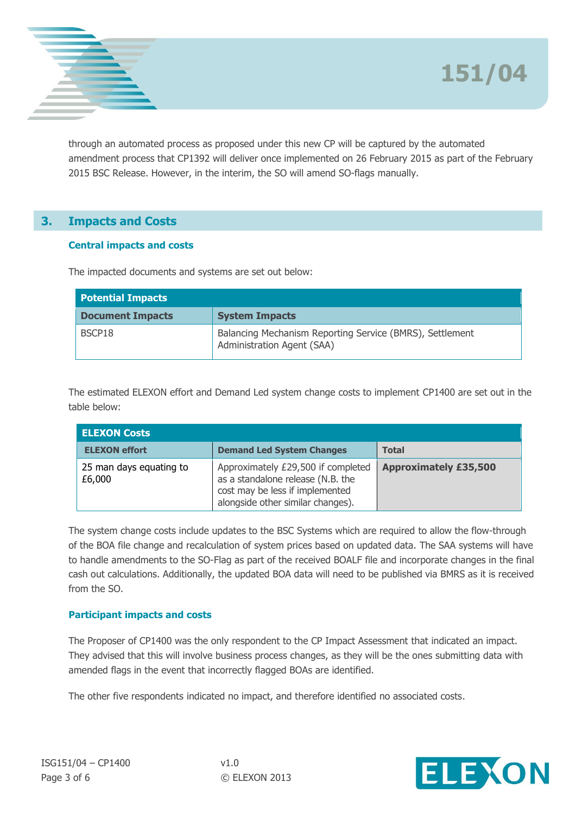



through an automated process as proposed under this new CP will be captured by the automated amendment process that CP1392 will deliver once implemented on 26 February 2015 as part of the February 2015 BSC Release. However, in the interim, the SO will amend SO-flags manually.

# **3. Impacts and Costs**

## **Central impacts and costs**

The impacted documents and systems are set out below:

| <b>Potential Impacts</b> |                                                                                        |  |  |  |  |
|--------------------------|----------------------------------------------------------------------------------------|--|--|--|--|
| <b>Document Impacts</b>  | <b>System Impacts</b>                                                                  |  |  |  |  |
| BSCP18                   | Balancing Mechanism Reporting Service (BMRS), Settlement<br>Administration Agent (SAA) |  |  |  |  |

The estimated ELEXON effort and Demand Led system change costs to implement CP1400 are set out in the table below:

| <b>ELEXON Costs</b>               |                                                                                                                                                 |                              |  |  |  |  |  |
|-----------------------------------|-------------------------------------------------------------------------------------------------------------------------------------------------|------------------------------|--|--|--|--|--|
| <b>ELEXON effort</b>              | <b>Demand Led System Changes</b>                                                                                                                | <b>Total</b>                 |  |  |  |  |  |
| 25 man days equating to<br>£6,000 | Approximately £29,500 if completed<br>as a standalone release (N.B. the<br>cost may be less if implemented<br>alongside other similar changes). | <b>Approximately £35,500</b> |  |  |  |  |  |

The system change costs include updates to the BSC Systems which are required to allow the flow-through of the BOA file change and recalculation of system prices based on updated data. The SAA systems will have to handle amendments to the SO-Flag as part of the received BOALF file and incorporate changes in the final cash out calculations. Additionally, the updated BOA data will need to be published via BMRS as it is received from the SO.

#### **Participant impacts and costs**

The Proposer of CP1400 was the only respondent to the CP Impact Assessment that indicated an impact. They advised that this will involve business process changes, as they will be the ones submitting data with amended flags in the event that incorrectly flagged BOAs are identified.

The other five respondents indicated no impact, and therefore identified no associated costs.

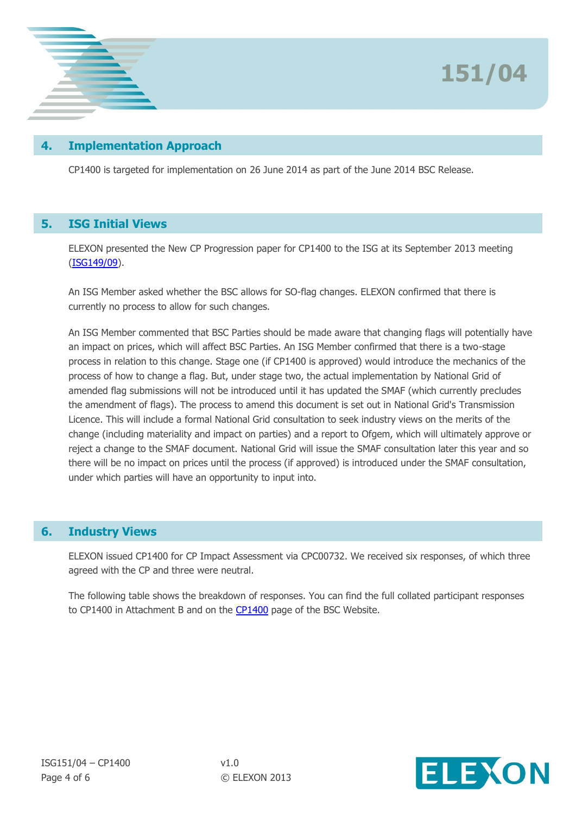

# **4. Implementation Approach**

CP1400 is targeted for implementation on 26 June 2014 as part of the June 2014 BSC Release.

## **5. ISG Initial Views**

ELEXON presented the New CP Progression paper for CP1400 to the ISG at its September 2013 meeting [\(ISG149/09\)](http://www.elexon.co.uk/wp-content/uploads/2012/11/ISG149_09_New_CP_Progression.pdf).

An ISG Member asked whether the BSC allows for SO-flag changes. ELEXON confirmed that there is currently no process to allow for such changes.

An ISG Member commented that BSC Parties should be made aware that changing flags will potentially have an impact on prices, which will affect BSC Parties. An ISG Member confirmed that there is a two-stage process in relation to this change. Stage one (if CP1400 is approved) would introduce the mechanics of the process of how to change a flag. But, under stage two, the actual implementation by National Grid of amended flag submissions will not be introduced until it has updated the SMAF (which currently precludes the amendment of flags). The process to amend this document is set out in National Grid's Transmission Licence. This will include a formal National Grid consultation to seek industry views on the merits of the change (including materiality and impact on parties) and a report to Ofgem, which will ultimately approve or reject a change to the SMAF document. National Grid will issue the SMAF consultation later this year and so there will be no impact on prices until the process (if approved) is introduced under the SMAF consultation, under which parties will have an opportunity to input into.

## **6. Industry Views**

ELEXON issued CP1400 for CP Impact Assessment via CPC00732. We received six responses, of which three agreed with the CP and three were neutral.

The following table shows the breakdown of responses. You can find the full collated participant responses to CP1400 in Attachment B and on the [CP1400](http://www.elexon.co.uk/change-proposal/cp1400/) page of the BSC Website.

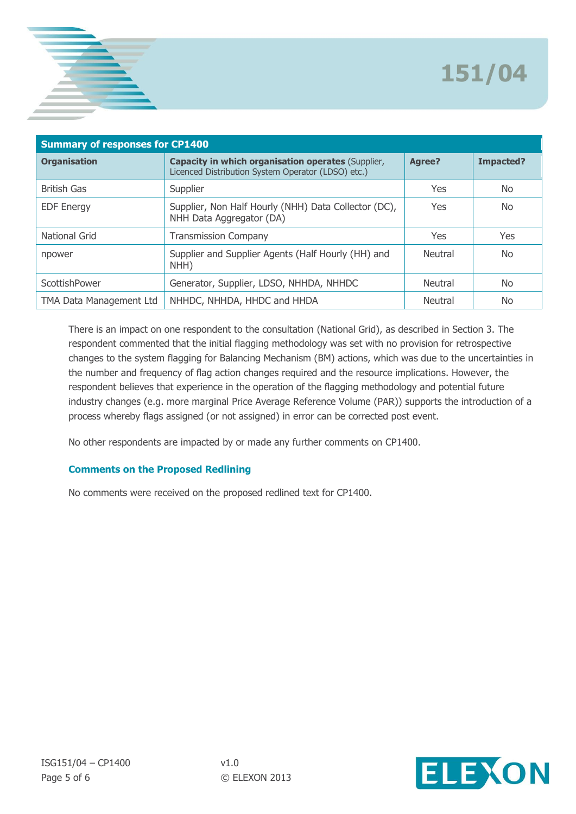

| <b>Summary of responses for CP1400</b> |                                                                                                                 |                |           |  |  |  |
|----------------------------------------|-----------------------------------------------------------------------------------------------------------------|----------------|-----------|--|--|--|
| <b>Organisation</b>                    | <b>Capacity in which organisation operates (Supplier,</b><br>Licenced Distribution System Operator (LDSO) etc.) | Agree?         | Impacted? |  |  |  |
| <b>British Gas</b>                     | Supplier                                                                                                        | <b>Yes</b>     | No.       |  |  |  |
| <b>EDF Energy</b>                      | Supplier, Non Half Hourly (NHH) Data Collector (DC),<br>NHH Data Aggregator (DA)                                | <b>Yes</b>     | No.       |  |  |  |
| National Grid                          | <b>Transmission Company</b>                                                                                     | Yes            | Yes       |  |  |  |
| npower                                 | Supplier and Supplier Agents (Half Hourly (HH) and<br>NHH)                                                      | <b>Neutral</b> | No.       |  |  |  |
| ScottishPower                          | Generator, Supplier, LDSO, NHHDA, NHHDC                                                                         | Neutral        | No.       |  |  |  |
| TMA Data Management Ltd                | NHHDC, NHHDA, HHDC and HHDA                                                                                     | <b>Neutral</b> | No.       |  |  |  |

There is an impact on one respondent to the consultation (National Grid), as described in Section 3. The respondent commented that the initial flagging methodology was set with no provision for retrospective changes to the system flagging for Balancing Mechanism (BM) actions, which was due to the uncertainties in the number and frequency of flag action changes required and the resource implications. However, the respondent believes that experience in the operation of the flagging methodology and potential future industry changes (e.g. more marginal Price Average Reference Volume (PAR)) supports the introduction of a process whereby flags assigned (or not assigned) in error can be corrected post event.

No other respondents are impacted by or made any further comments on CP1400.

## **Comments on the Proposed Redlining**

No comments were received on the proposed redlined text for CP1400.